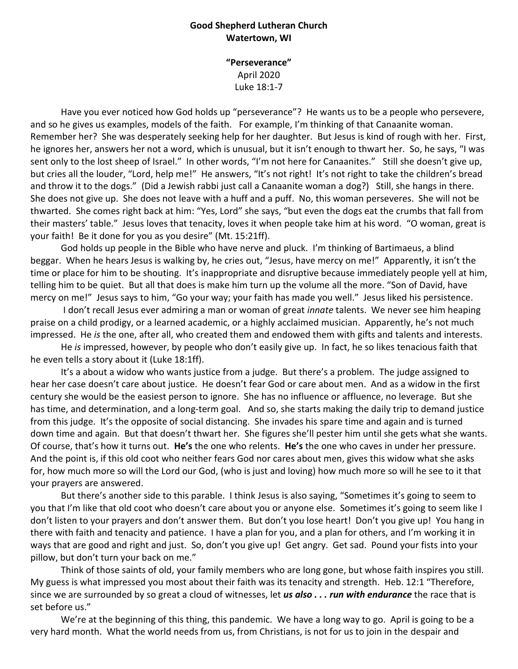## **Good Shepherd Lutheran Church Watertown, WI**

## **"Perseverance"** April 2020 Luke 18:1-7

Have you ever noticed how God holds up "perseverance"? He wants us to be a people who persevere, and so he gives us examples, models of the faith. For example, I'm thinking of that Canaanite woman. Remember her? She was desperately seeking help for her daughter. But Jesus is kind of rough with her. First, he ignores her, answers her not a word, which is unusual, but it isn't enough to thwart her. So, he says, "I was sent only to the lost sheep of Israel." In other words, "I'm not here for Canaanites." Still she doesn't give up, but cries all the louder, "Lord, help me!" He answers, "It's not right! It's not right to take the children's bread and throw it to the dogs." (Did a Jewish rabbi just call a Canaanite woman a dog?) Still, she hangs in there. She does not give up. She does not leave with a huff and a puff. No, this woman perseveres. She will not be thwarted. She comes right back at him: "Yes, Lord" she says, "but even the dogs eat the crumbs that fall from their masters' table." Jesus loves that tenacity, loves it when people take him at his word. "O woman, great is your faith! Be it done for you as you desire" (Mt. 15:21ff).

God holds up people in the Bible who have nerve and pluck. I'm thinking of Bartimaeus, a blind beggar. When he hears Jesus is walking by, he cries out, "Jesus, have mercy on me!" Apparently, it isn't the time or place for him to be shouting. It's inappropriate and disruptive because immediately people yell at him, telling him to be quiet. But all that does is make him turn up the volume all the more. "Son of David, have mercy on me!" Jesus says to him, "Go your way; your faith has made you well." Jesus liked his persistence.

I don't recall Jesus ever admiring a man or woman of great *innate* talents. We never see him heaping praise on a child prodigy, or a learned academic, or a highly acclaimed musician. Apparently, he's not much impressed. He *is* the one, after all, who created them and endowed them with gifts and talents and interests.

He *is* impressed, however, by people who don't easily give up. In fact, he so likes tenacious faith that he even tells a story about it (Luke 18:1ff).

It's a about a widow who wants justice from a judge. But there's a problem. The judge assigned to hear her case doesn't care about justice. He doesn't fear God or care about men. And as a widow in the first century she would be the easiest person to ignore. She has no influence or affluence, no leverage. But she has time, and determination, and a long-term goal. And so, she starts making the daily trip to demand justice from this judge. It's the opposite of social distancing. She invades his spare time and again and is turned down time and again. But that doesn't thwart her. She figures she'll pester him until she gets what she wants. Of course, that's how it turns out. **He's** the one who relents. **He's** the one who caves in under her pressure. And the point is, if this old coot who neither fears God nor cares about men, gives this widow what she asks for, how much more so will the Lord our God, (who is just and loving) how much more so will he see to it that your prayers are answered.

But there's another side to this parable. I think Jesus is also saying, "Sometimes it's going to seem to you that I'm like that old coot who doesn't care about you or anyone else. Sometimes it's going to seem like I don't listen to your prayers and don't answer them. But don't you lose heart! Don't you give up! You hang in there with faith and tenacity and patience. I have a plan for you, and a plan for others, and I'm working it in ways that are good and right and just. So, don't you give up! Get angry. Get sad. Pound your fists into your pillow, but don't turn your back on me."

Think of those saints of old, your family members who are long gone, but whose faith inspires you still. My guess is what impressed you most about their faith was its tenacity and strength. Heb. 12:1 "Therefore, since we are surrounded by so great a cloud of witnesses, let *us also . . . run with endurance* the race that is set before us."

We're at the beginning of this thing, this pandemic. We have a long way to go. April is going to be a very hard month. What the world needs from us, from Christians, is not for us to join in the despair and